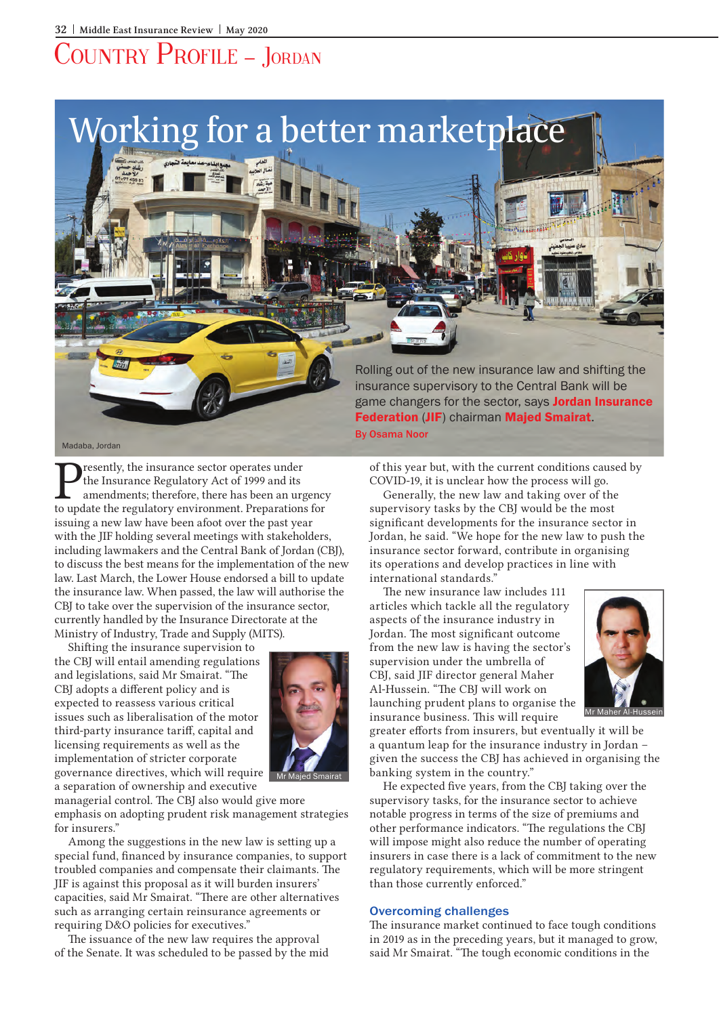# Country Profile – Jordan



Tesently, the insurance sector operates under<br>
the Insurance Regulatory Act of 1999 and its<br>
amendments; therefore, there has been an urgency<br>
to undate the regulatory environment Preparations for the Insurance Regulatory Act of 1999 and its to update the regulatory environment. Preparations for issuing a new law have been afoot over the past year with the JIF holding several meetings with stakeholders, including lawmakers and the Central Bank of Jordan (CBJ), to discuss the best means for the implementation of the new law. Last March, the Lower House endorsed a bill to update the insurance law. When passed, the law will authorise the CBJ to take over the supervision of the insurance sector, currently handled by the Insurance Directorate at the Ministry of Industry, Trade and Supply (MITS).

Shifting the insurance supervision to the CBJ will entail amending regulations and legislations, said Mr Smairat. "The CBJ adopts a different policy and is expected to reassess various critical issues such as liberalisation of the motor third-party insurance tariff, capital and licensing requirements as well as the implementation of stricter corporate governance directives, which will require a separation of ownership and executive



Mr Majed Smairat

managerial control. The CBJ also would give more emphasis on adopting prudent risk management strategies for insurers."

Among the suggestions in the new law is setting up a special fund, financed by insurance companies, to support troubled companies and compensate their claimants. The JIF is against this proposal as it will burden insurers' capacities, said Mr Smairat. "There are other alternatives such as arranging certain reinsurance agreements or requiring D&O policies for executives."

The issuance of the new law requires the approval of the Senate. It was scheduled to be passed by the mid of this year but, with the current conditions caused by COVID-19, it is unclear how the process will go.

Generally, the new law and taking over of the supervisory tasks by the CBJ would be the most significant developments for the insurance sector in Jordan, he said. "We hope for the new law to push the insurance sector forward, contribute in organising its operations and develop practices in line with international standards."

The new insurance law includes 111 articles which tackle all the regulatory aspects of the insurance industry in Jordan. The most significant outcome from the new law is having the sector's supervision under the umbrella of CBJ, said JIF director general Maher Al-Hussein. "The CBJ will work on launching prudent plans to organise the insurance business. This will require



Mr Maher Al-Hussein

greater efforts from insurers, but eventually it will be a quantum leap for the insurance industry in Jordan – given the success the CBJ has achieved in organising the banking system in the country."

He expected five years, from the CBJ taking over the supervisory tasks, for the insurance sector to achieve notable progress in terms of the size of premiums and other performance indicators. "The regulations the CBJ will impose might also reduce the number of operating insurers in case there is a lack of commitment to the new regulatory requirements, which will be more stringent than those currently enforced."

#### Overcoming challenges

The insurance market continued to face tough conditions in 2019 as in the preceding years, but it managed to grow, said Mr Smairat. "The tough economic conditions in the